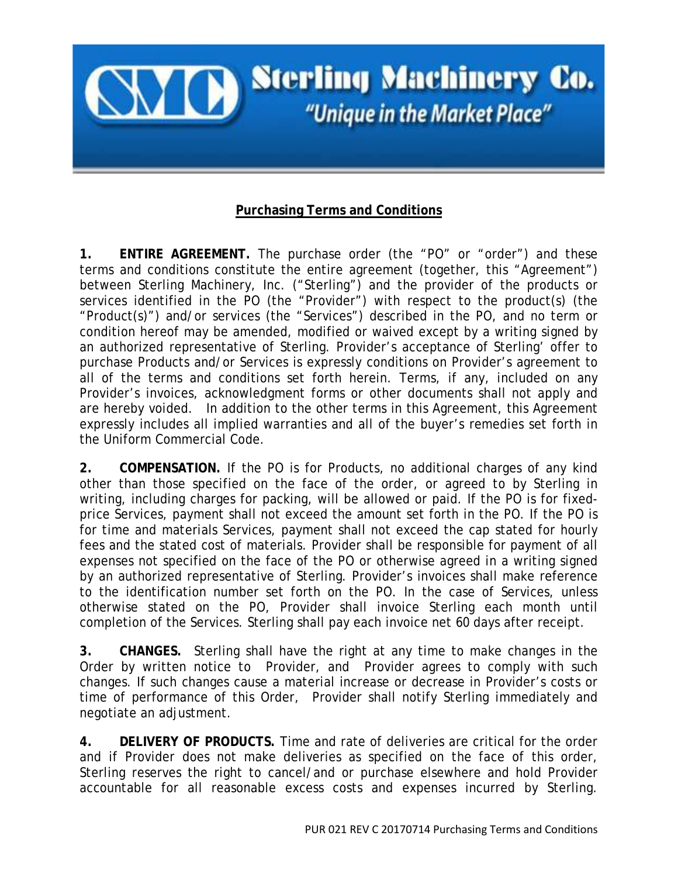

## **Purchasing Terms and Conditions**

**1. ENTIRE AGREEMENT.** The purchase order (the "PO" or "order") and these terms and conditions constitute the entire agreement (together, this "Agreement") between Sterling Machinery, Inc. ("Sterling") and the provider of the products or services identified in the PO (the "Provider") with respect to the product(s) (the "Product(s)") and/or services (the "Services") described in the PO, and no term or condition hereof may be amended, modified or waived except by a writing signed by an authorized representative of Sterling. Provider's acceptance of Sterling' offer to purchase Products and/or Services is expressly conditions on Provider's agreement to all of the terms and conditions set forth herein. Terms, if any, included on any Provider's invoices, acknowledgment forms or other documents shall not apply and are hereby voided. In addition to the other terms in this Agreement, this Agreement expressly includes all implied warranties and all of the buyer's remedies set forth in the Uniform Commercial Code.

**2. COMPENSATION.** If the PO is for Products, no additional charges of any kind other than those specified on the face of the order, or agreed to by Sterling in writing, including charges for packing, will be allowed or paid. If the PO is for fixedprice Services, payment shall not exceed the amount set forth in the PO. If the PO is for time and materials Services, payment shall not exceed the cap stated for hourly fees and the stated cost of materials. Provider shall be responsible for payment of all expenses not specified on the face of the PO or otherwise agreed in a writing signed by an authorized representative of Sterling. Provider's invoices shall make reference to the identification number set forth on the PO. In the case of Services, unless otherwise stated on the PO, Provider shall invoice Sterling each month until completion of the Services. Sterling shall pay each invoice net 60 days after receipt.

**3. CHANGES.** Sterling shall have the right at any time to make changes in the Order by written notice to Provider, and Provider agrees to comply with such changes. If such changes cause a material increase or decrease in Provider's costs or time of performance of this Order, Provider shall notify Sterling immediately and negotiate an adjustment.

**4. DELIVERY OF PRODUCTS.** Time and rate of deliveries are critical for the order and if Provider does not make deliveries as specified on the face of this order, Sterling reserves the right to cancel/and or purchase elsewhere and hold Provider accountable for all reasonable excess costs and expenses incurred by Sterling.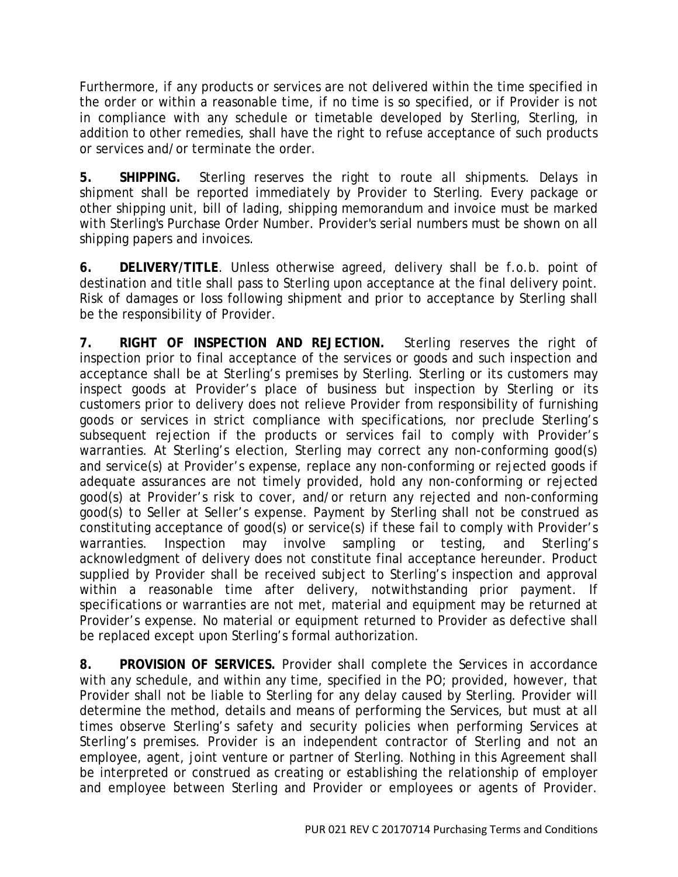Furthermore, if any products or services are not delivered within the time specified in the order or within a reasonable time, if no time is so specified, or if Provider is not in compliance with any schedule or timetable developed by Sterling, Sterling, in addition to other remedies, shall have the right to refuse acceptance of such products or services and/or terminate the order.

**5. SHIPPING.** Sterling reserves the right to route all shipments. Delays in shipment shall be reported immediately by Provider to Sterling. Every package or other shipping unit, bill of lading, shipping memorandum and invoice must be marked with Sterling's Purchase Order Number. Provider's serial numbers must be shown on all shipping papers and invoices.

**6. DELIVERY/TITLE**. Unless otherwise agreed, delivery shall be f.o.b. point of destination and title shall pass to Sterling upon acceptance at the final delivery point. Risk of damages or loss following shipment and prior to acceptance by Sterling shall be the responsibility of Provider.

**7. RIGHT OF INSPECTION AND REJECTION.** Sterling reserves the right of inspection prior to final acceptance of the services or goods and such inspection and acceptance shall be at Sterling's premises by Sterling. Sterling or its customers may inspect goods at Provider's place of business but inspection by Sterling or its customers prior to delivery does not relieve Provider from responsibility of furnishing goods or services in strict compliance with specifications, nor preclude Sterling's subsequent rejection if the products or services fail to comply with Provider's warranties. At Sterling's election, Sterling may correct any non-conforming good(s) and service(s) at Provider's expense, replace any non-conforming or rejected goods if adequate assurances are not timely provided, hold any non-conforming or rejected good(s) at Provider's risk to cover, and/or return any rejected and non-conforming good(s) to Seller at Seller's expense. Payment by Sterling shall not be construed as constituting acceptance of good(s) or service(s) if these fail to comply with Provider's warranties. Inspection may involve sampling or testing, and Sterling's acknowledgment of delivery does not constitute final acceptance hereunder. Product supplied by Provider shall be received subject to Sterling's inspection and approval within a reasonable time after delivery, notwithstanding prior payment. If specifications or warranties are not met, material and equipment may be returned at Provider's expense. No material or equipment returned to Provider as defective shall be replaced except upon Sterling's formal authorization.

**8. PROVISION OF SERVICES.** Provider shall complete the Services in accordance with any schedule, and within any time, specified in the PO; provided, however, that Provider shall not be liable to Sterling for any delay caused by Sterling. Provider will determine the method, details and means of performing the Services, but must at all times observe Sterling's safety and security policies when performing Services at Sterling's premises. Provider is an independent contractor of Sterling and not an employee, agent, joint venture or partner of Sterling. Nothing in this Agreement shall be interpreted or construed as creating or establishing the relationship of employer and employee between Sterling and Provider or employees or agents of Provider.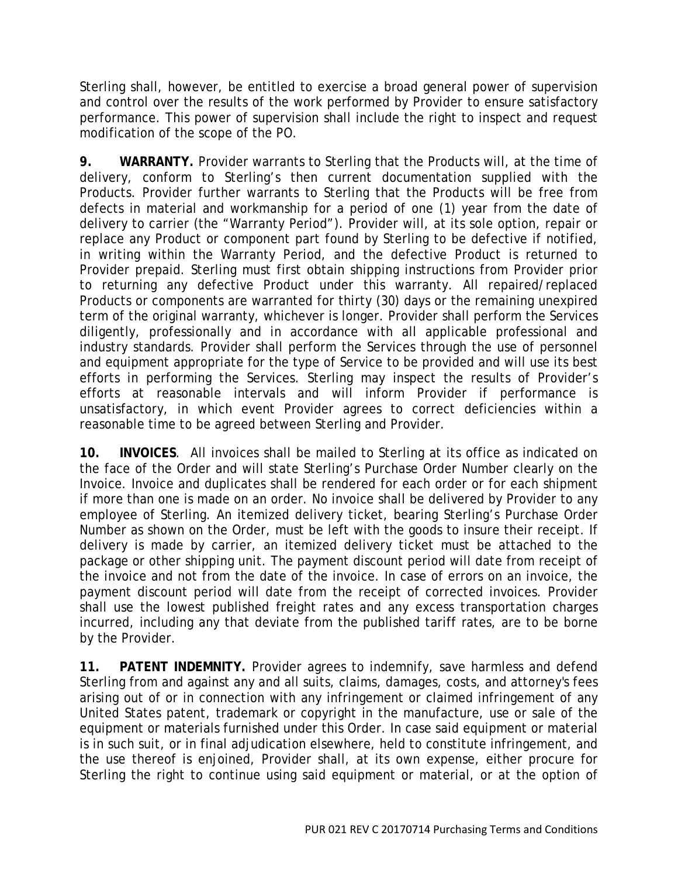Sterling shall, however, be entitled to exercise a broad general power of supervision and control over the results of the work performed by Provider to ensure satisfactory performance. This power of supervision shall include the right to inspect and request modification of the scope of the PO.

**9. WARRANTY.** Provider warrants to Sterling that the Products will, at the time of delivery, conform to Sterling's then current documentation supplied with the Products. Provider further warrants to Sterling that the Products will be free from defects in material and workmanship for a period of one (1) year from the date of delivery to carrier (the "Warranty Period"). Provider will, at its sole option, repair or replace any Product or component part found by Sterling to be defective if notified, in writing within the Warranty Period, and the defective Product is returned to Provider prepaid. Sterling must first obtain shipping instructions from Provider prior to returning any defective Product under this warranty. All repaired/replaced Products or components are warranted for thirty (30) days or the remaining unexpired term of the original warranty, whichever is longer. Provider shall perform the Services diligently, professionally and in accordance with all applicable professional and industry standards. Provider shall perform the Services through the use of personnel and equipment appropriate for the type of Service to be provided and will use its best efforts in performing the Services. Sterling may inspect the results of Provider's efforts at reasonable intervals and will inform Provider if performance is unsatisfactory, in which event Provider agrees to correct deficiencies within a reasonable time to be agreed between Sterling and Provider.

**10. INVOICES**. All invoices shall be mailed to Sterling at its office as indicated on the face of the Order and will state Sterling's Purchase Order Number clearly on the Invoice. Invoice and duplicates shall be rendered for each order or for each shipment if more than one is made on an order. No invoice shall be delivered by Provider to any employee of Sterling. An itemized delivery ticket, bearing Sterling's Purchase Order Number as shown on the Order, must be left with the goods to insure their receipt. If delivery is made by carrier, an itemized delivery ticket must be attached to the package or other shipping unit. The payment discount period will date from receipt of the invoice and not from the date of the invoice. In case of errors on an invoice, the payment discount period will date from the receipt of corrected invoices. Provider shall use the lowest published freight rates and any excess transportation charges incurred, including any that deviate from the published tariff rates, are to be borne by the Provider.

**11. PATENT INDEMNITY.** Provider agrees to indemnify, save harmless and defend Sterling from and against any and all suits, claims, damages, costs, and attorney's fees arising out of or in connection with any infringement or claimed infringement of any United States patent, trademark or copyright in the manufacture, use or sale of the equipment or materials furnished under this Order. In case said equipment or material is in such suit, or in final adjudication elsewhere, held to constitute infringement, and the use thereof is enjoined, Provider shall, at its own expense, either procure for Sterling the right to continue using said equipment or material, or at the option of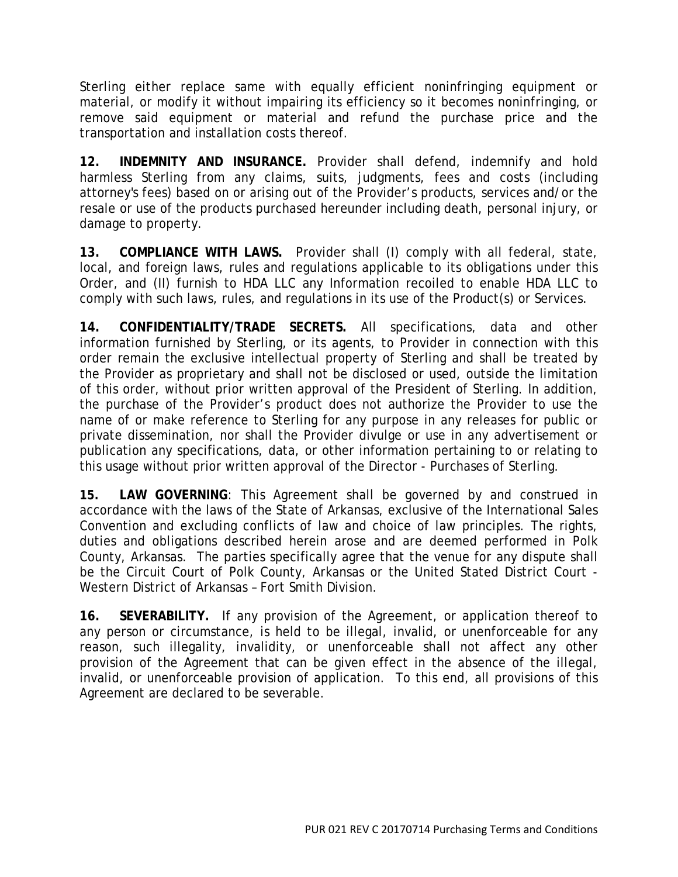Sterling either replace same with equally efficient noninfringing equipment or material, or modify it without impairing its efficiency so it becomes noninfringing, or remove said equipment or material and refund the purchase price and the transportation and installation costs thereof.

**12. INDEMNITY AND INSURANCE.** Provider shall defend, indemnify and hold harmless Sterling from any claims, suits, judgments, fees and costs (including attorney's fees) based on or arising out of the Provider's products, services and/or the resale or use of the products purchased hereunder including death, personal injury, or damage to property.

**13. COMPLIANCE WITH LAWS.** Provider shall (I) comply with all federal, state, local, and foreign laws, rules and regulations applicable to its obligations under this Order, and (II) furnish to HDA LLC any Information recoiled to enable HDA LLC to comply with such laws, rules, and regulations in its use of the Product(s) or Services.

**14. CONFIDENTIALITY/TRADE SECRETS.** All specifications, data and other information furnished by Sterling, or its agents, to Provider in connection with this order remain the exclusive intellectual property of Sterling and shall be treated by the Provider as proprietary and shall not be disclosed or used, outside the limitation of this order, without prior written approval of the President of Sterling. In addition, the purchase of the Provider's product does not authorize the Provider to use the name of or make reference to Sterling for any purpose in any releases for public or private dissemination, nor shall the Provider divulge or use in any advertisement or publication any specifications, data, or other information pertaining to or relating to this usage without prior written approval of the Director - Purchases of Sterling.

**15. LAW GOVERNING**: This Agreement shall be governed by and construed in accordance with the laws of the State of Arkansas, exclusive of the International Sales Convention and excluding conflicts of law and choice of law principles. The rights, duties and obligations described herein arose and are deemed performed in Polk County, Arkansas. The parties specifically agree that the venue for any dispute shall be the Circuit Court of Polk County, Arkansas or the United Stated District Court - Western District of Arkansas – Fort Smith Division.

**16. SEVERABILITY.** If any provision of the Agreement, or application thereof to any person or circumstance, is held to be illegal, invalid, or unenforceable for any reason, such illegality, invalidity, or unenforceable shall not affect any other provision of the Agreement that can be given effect in the absence of the illegal, invalid, or unenforceable provision of application. To this end, all provisions of this Agreement are declared to be severable.